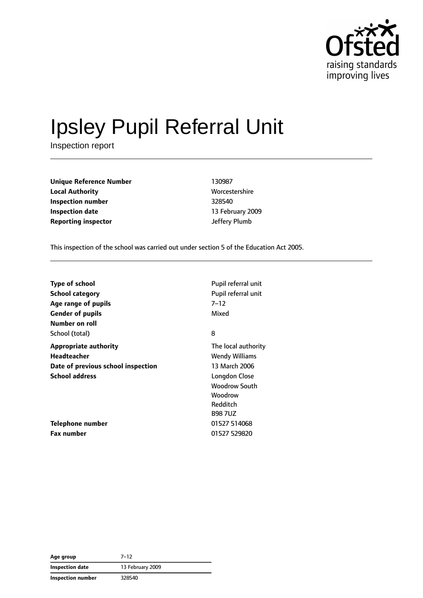

# Ipsley Pupil Referral Unit

Inspection report

| <b>Unique Reference Number</b> | 130987         |
|--------------------------------|----------------|
| <b>Local Authority</b>         | Worcestershire |
| Inspection number              | 328540         |
| <b>Inspection date</b>         | 13 February 20 |
| <b>Reporting inspector</b>     | Jeffery Plumb  |

**Worcestershire Inspection number** 328540 **Inspection date** 13 February 2009

This inspection of the school was carried out under section 5 of the Education Act 2005.

| Type of school<br>School category<br>Age range of pupils<br><b>Gender of pupils</b><br>Number on roll      | Pupil referral unit<br>Pupil referral unit<br>7–12<br>Mixed                                                                                           |
|------------------------------------------------------------------------------------------------------------|-------------------------------------------------------------------------------------------------------------------------------------------------------|
| School (total)                                                                                             | 8                                                                                                                                                     |
| <b>Appropriate authority</b><br>Headteacher<br>Date of previous school inspection<br><b>School address</b> | The local authority<br><b>Wendy Williams</b><br>13 March 2006<br><b>Longdon Close</b><br><b>Woodrow South</b><br>Woodrow<br>Redditch<br><b>B987UZ</b> |
| Telephone number<br><b>Fax number</b>                                                                      | 01527 514068<br>01527 529820                                                                                                                          |

| Age group         | $7 - 12$         |
|-------------------|------------------|
| Inspection date   | 13 February 2009 |
| Inspection number | 328540           |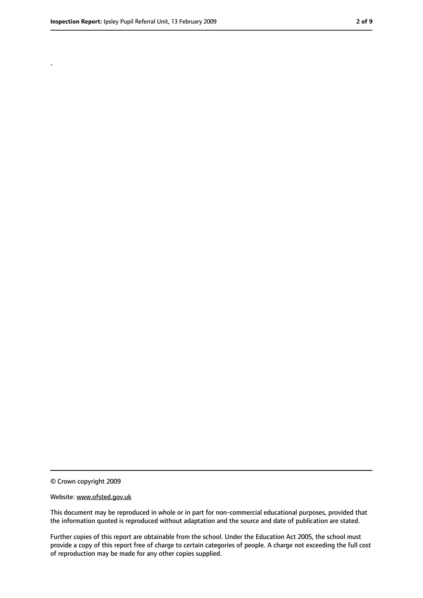.

<sup>©</sup> Crown copyright 2009

Website: www.ofsted.gov.uk

This document may be reproduced in whole or in part for non-commercial educational purposes, provided that the information quoted is reproduced without adaptation and the source and date of publication are stated.

Further copies of this report are obtainable from the school. Under the Education Act 2005, the school must provide a copy of this report free of charge to certain categories of people. A charge not exceeding the full cost of reproduction may be made for any other copies supplied.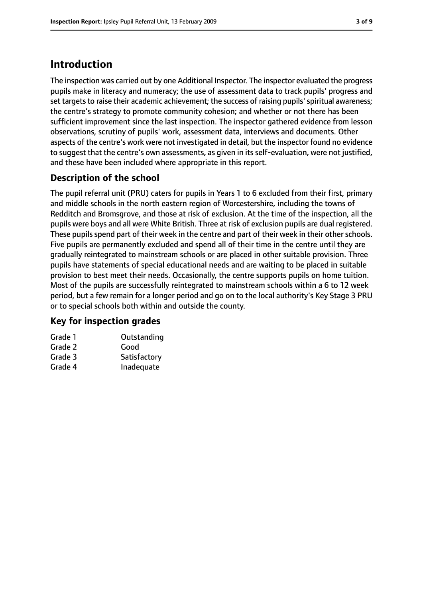## **Introduction**

The inspection was carried out by one Additional Inspector. The inspector evaluated the progress pupils make in literacy and numeracy; the use of assessment data to track pupils' progress and set targets to raise their academic achievement; the success of raising pupils' spiritual awareness; the centre's strategy to promote community cohesion; and whether or not there has been sufficient improvement since the last inspection. The inspector gathered evidence from lesson observations, scrutiny of pupils' work, assessment data, interviews and documents. Other aspects of the centre's work were not investigated in detail, but the inspector found no evidence to suggest that the centre's own assessments, as given in its self-evaluation, were not justified, and these have been included where appropriate in this report.

## **Description of the school**

The pupil referral unit (PRU) caters for pupils in Years 1 to 6 excluded from their first, primary and middle schools in the north eastern region of Worcestershire, including the towns of Redditch and Bromsgrove, and those at risk of exclusion. At the time of the inspection, all the pupils were boys and all were White British. Three at risk of exclusion pupils are dual registered. These pupils spend part of their week in the centre and part of their week in their other schools. Five pupils are permanently excluded and spend all of their time in the centre until they are gradually reintegrated to mainstream schools or are placed in other suitable provision. Three pupils have statements of special educational needs and are waiting to be placed in suitable provision to best meet their needs. Occasionally, the centre supports pupils on home tuition. Most of the pupils are successfully reintegrated to mainstream schools within a 6 to 12 week period, but a few remain for a longer period and go on to the local authority's Key Stage 3 PRU or to special schools both within and outside the county.

#### **Key for inspection grades**

| Grade 1 | Outstanding  |
|---------|--------------|
| Grade 2 | Good         |
| Grade 3 | Satisfactory |
| Grade 4 | Inadequate   |
|         |              |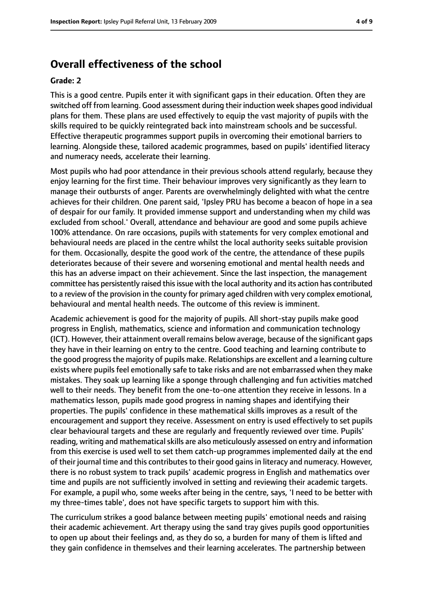#### **Overall effectiveness of the school**

#### **Grade: 2**

This is a good centre. Pupils enter it with significant gaps in their education. Often they are switched off from learning. Good assessment during their induction week shapes good individual plans for them. These plans are used effectively to equip the vast majority of pupils with the skills required to be quickly reintegrated back into mainstream schools and be successful. Effective therapeutic programmes support pupils in overcoming their emotional barriers to learning. Alongside these, tailored academic programmes, based on pupils' identified literacy and numeracy needs, accelerate their learning.

Most pupils who had poor attendance in their previous schools attend regularly, because they enjoy learning for the first time. Their behaviour improves very significantly as they learn to manage their outbursts of anger. Parents are overwhelmingly delighted with what the centre achieves for their children. One parent said, 'Ipsley PRU has become a beacon of hope in a sea of despair for our family. It provided immense support and understanding when my child was excluded from school.' Overall, attendance and behaviour are good and some pupils achieve 100% attendance. On rare occasions, pupils with statements for very complex emotional and behavioural needs are placed in the centre whilst the local authority seeks suitable provision for them. Occasionally, despite the good work of the centre, the attendance of these pupils deteriorates because of their severe and worsening emotional and mental health needs and this has an adverse impact on their achievement. Since the last inspection, the management committee has persistently raised thisissue with the local authority and its action has contributed to a review of the provision in the county for primary aged children with very complex emotional, behavioural and mental health needs. The outcome of this review is imminent.

Academic achievement is good for the majority of pupils. All short-stay pupils make good progress in English, mathematics, science and information and communication technology (ICT). However, their attainment overall remains below average, because of the significant gaps they have in their learning on entry to the centre. Good teaching and learning contribute to the good progressthe majority of pupils make. Relationships are excellent and a learning culture exists where pupils feel emotionally safe to take risks and are not embarrassed when they make mistakes. They soak up learning like a sponge through challenging and fun activities matched well to their needs. They benefit from the one-to-one attention they receive in lessons. In a mathematics lesson, pupils made good progress in naming shapes and identifying their properties. The pupils' confidence in these mathematical skills improves as a result of the encouragement and support they receive. Assessment on entry is used effectively to set pupils clear behavioural targets and these are regularly and frequently reviewed over time. Pupils' reading, writing and mathematical skills are also meticulously assessed on entry and information from this exercise is used well to set them catch-up programmes implemented daily at the end of their journal time and this contributes to their good gains in literacy and numeracy. However, there is no robust system to track pupils' academic progress in English and mathematics over time and pupils are not sufficiently involved in setting and reviewing their academic targets. For example, a pupil who, some weeks after being in the centre, says, 'I need to be better with my three-times table', does not have specific targets to support him with this.

The curriculum strikes a good balance between meeting pupils' emotional needs and raising their academic achievement. Art therapy using the sand tray gives pupils good opportunities to open up about their feelings and, as they do so, a burden for many of them is lifted and they gain confidence in themselves and their learning accelerates. The partnership between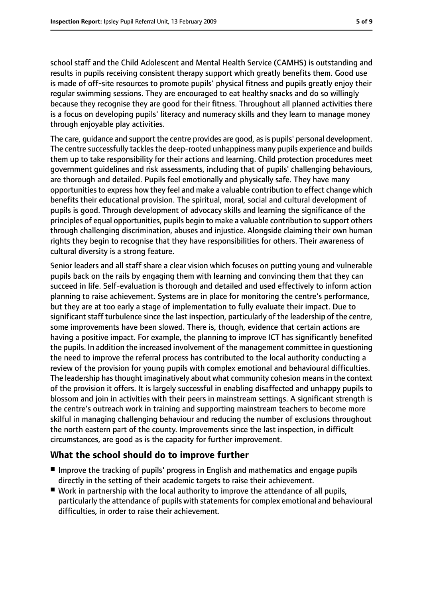school staff and the Child Adolescent and Mental Health Service (CAMHS) is outstanding and results in pupils receiving consistent therapy support which greatly benefits them. Good use is made of off-site resources to promote pupils' physical fitness and pupils greatly enjoy their regular swimming sessions. They are encouraged to eat healthy snacks and do so willingly because they recognise they are good for their fitness. Throughout all planned activities there is a focus on developing pupils' literacy and numeracy skills and they learn to manage money through enjoyable play activities.

The care, quidance and support the centre provides are good, as is pupils' personal development. The centre successfully tackles the deep-rooted unhappiness many pupils experience and builds them up to take responsibility for their actions and learning. Child protection procedures meet government guidelines and risk assessments, including that of pupils' challenging behaviours, are thorough and detailed. Pupils feel emotionally and physically safe. They have many opportunities to express how they feel and make a valuable contribution to effect change which benefits their educational provision. The spiritual, moral, social and cultural development of pupils is good. Through development of advocacy skills and learning the significance of the principles of equal opportunities, pupils begin to make a valuable contribution to support others through challenging discrimination, abuses and injustice. Alongside claiming their own human rights they begin to recognise that they have responsibilities for others. Their awareness of cultural diversity is a strong feature.

Senior leaders and all staff share a clear vision which focuses on putting young and vulnerable pupils back on the rails by engaging them with learning and convincing them that they can succeed in life. Self-evaluation is thorough and detailed and used effectively to inform action planning to raise achievement. Systems are in place for monitoring the centre's performance, but they are at too early a stage of implementation to fully evaluate their impact. Due to significant staff turbulence since the last inspection, particularly of the leadership of the centre, some improvements have been slowed. There is, though, evidence that certain actions are having a positive impact. For example, the planning to improve ICT has significantly benefited the pupils. In addition the increased involvement of the management committee in questioning the need to improve the referral process has contributed to the local authority conducting a review of the provision for young pupils with complex emotional and behavioural difficulties. The leadership has thought imaginatively about what community cohesion means in the context of the provision it offers. It is largely successful in enabling disaffected and unhappy pupils to blossom and join in activities with their peers in mainstream settings. A significant strength is the centre's outreach work in training and supporting mainstream teachers to become more skilful in managing challenging behaviour and reducing the number of exclusions throughout the north eastern part of the county. Improvements since the last inspection, in difficult circumstances, are good as is the capacity for further improvement.

#### **What the school should do to improve further**

- Improve the tracking of pupils' progress in English and mathematics and engage pupils directly in the setting of their academic targets to raise their achievement.
- Work in partnership with the local authority to improve the attendance of all pupils, particularly the attendance of pupils with statements for complex emotional and behavioural difficulties, in order to raise their achievement.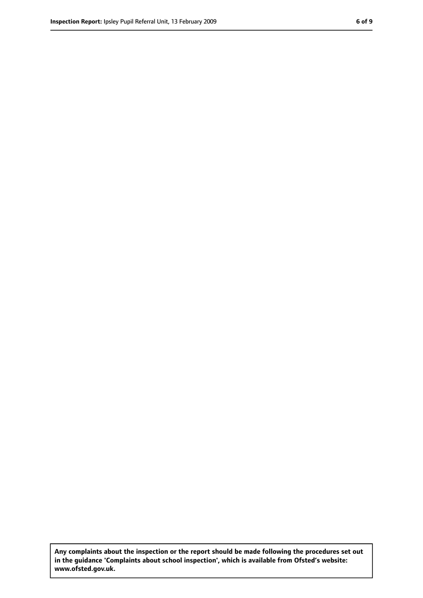**Any complaints about the inspection or the report should be made following the procedures set out in the guidance 'Complaints about school inspection', which is available from Ofsted's website: www.ofsted.gov.uk.**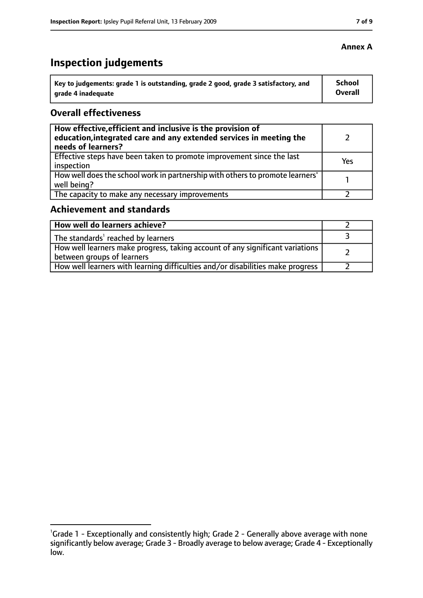# **Inspection judgements**

| ˈ Key to judgements: grade 1 is outstanding, grade 2 good, grade 3 satisfactory, and | <b>School</b>  |
|--------------------------------------------------------------------------------------|----------------|
| arade 4 inadequate                                                                   | <b>Overall</b> |

#### **Overall effectiveness**

| How effective, efficient and inclusive is the provision of<br>education, integrated care and any extended services in meeting the<br>needs of learners? |     |
|---------------------------------------------------------------------------------------------------------------------------------------------------------|-----|
| Effective steps have been taken to promote improvement since the last<br>inspection                                                                     | Yes |
| How well does the school work in partnership with others to promote learners'<br>well being?                                                            |     |
| The capacity to make any necessary improvements                                                                                                         |     |

#### **Achievement and standards**

| How well do learners achieve?                                                                                 |  |
|---------------------------------------------------------------------------------------------------------------|--|
| The standards <sup>1</sup> reached by learners                                                                |  |
| How well learners make progress, taking account of any significant variations  <br>between groups of learners |  |
| How well learners with learning difficulties and/or disabilities make progress                                |  |

#### **Annex A**

<sup>&</sup>lt;sup>1</sup>Grade 1 - Exceptionally and consistently high; Grade 2 - Generally above average with none significantly below average; Grade 3 - Broadly average to below average; Grade 4 - Exceptionally low.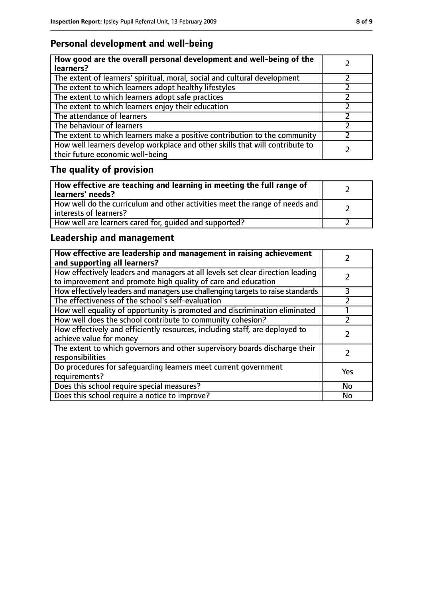## **Personal development and well-being**

| How good are the overall personal development and well-being of the<br>learners?                                 |  |
|------------------------------------------------------------------------------------------------------------------|--|
| The extent of learners' spiritual, moral, social and cultural development                                        |  |
| The extent to which learners adopt healthy lifestyles                                                            |  |
| The extent to which learners adopt safe practices                                                                |  |
| The extent to which learners enjoy their education                                                               |  |
| The attendance of learners                                                                                       |  |
| The behaviour of learners                                                                                        |  |
| The extent to which learners make a positive contribution to the community                                       |  |
| How well learners develop workplace and other skills that will contribute to<br>their future economic well-being |  |

# **The quality of provision**

| How effective are teaching and learning in meeting the full range of<br>learners' needs?              |  |
|-------------------------------------------------------------------------------------------------------|--|
| How well do the curriculum and other activities meet the range of needs and<br>interests of learners? |  |
| How well are learners cared for, quided and supported?                                                |  |

## **Leadership and management**

| How effective are leadership and management in raising achievement<br>and supporting all learners?                                              |     |
|-------------------------------------------------------------------------------------------------------------------------------------------------|-----|
| How effectively leaders and managers at all levels set clear direction leading<br>to improvement and promote high quality of care and education |     |
| How effectively leaders and managers use challenging targets to raise standards                                                                 | 3   |
| The effectiveness of the school's self-evaluation                                                                                               |     |
| How well equality of opportunity is promoted and discrimination eliminated                                                                      |     |
| How well does the school contribute to community cohesion?                                                                                      |     |
| How effectively and efficiently resources, including staff, are deployed to<br>achieve value for money                                          |     |
| The extent to which governors and other supervisory boards discharge their<br>responsibilities                                                  |     |
| Do procedures for safeguarding learners meet current government<br>requirements?                                                                | Yes |
| Does this school require special measures?                                                                                                      | No  |
| Does this school require a notice to improve?                                                                                                   | No  |